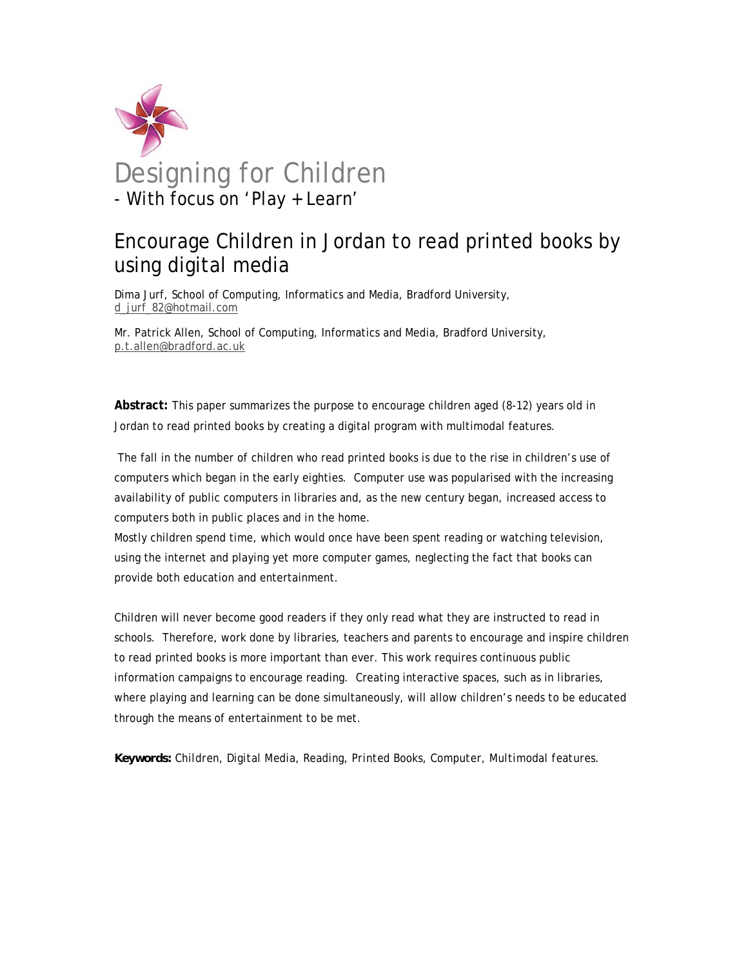

# Encourage Children in Jordan to read printed books by using digital media

Dima Jurf, School of Computing, Informatics and Media, Bradford University, d\_jurf\_82@hotmail.com

Mr. Patrick Allen, School of Computing, Informatics and Media, Bradford University, p.t.allen@bradford.ac.uk

**Abstract:** This paper summarizes the purpose to encourage children aged (8-12) years old in Jordan to read printed books by creating a digital program with multimodal features.

 The fall in the number of children who read printed books is due to the rise in children's use of computers which began in the early eighties. Computer use was popularised with the increasing availability of public computers in libraries and, as the new century began, increased access to computers both in public places and in the home.

Mostly children spend time, which would once have been spent reading or watching television, using the internet and playing yet more computer games, neglecting the fact that books can provide both education and entertainment.

Children will never become good readers if they only read what they are instructed to read in schools. Therefore, work done by libraries, teachers and parents to encourage and inspire children to read printed books is more important than ever. This work requires continuous public information campaigns to encourage reading. Creating interactive spaces, such as in libraries, where playing and learning can be done simultaneously, will allow children's needs to be educated through the means of entertainment to be met.

*Keywords: Children, Digital Media, Reading, Printed Books, Computer, Multimodal features.*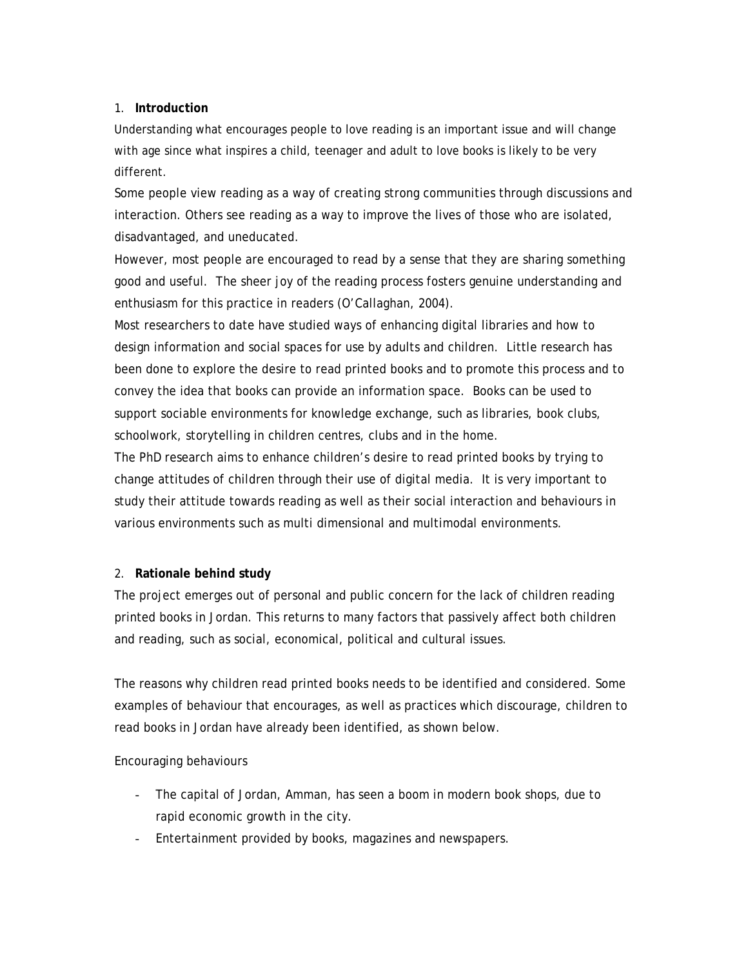## 1. **Introduction**

Understanding what encourages people to love reading is an important issue and will change with age since what inspires a child, teenager and adult to love books is likely to be very different.

Some people view reading as a way of creating strong communities through discussions and interaction. Others see reading as a way to improve the lives of those who are isolated, disadvantaged, and uneducated.

However, most people are encouraged to read by a sense that they are sharing something good and useful. The sheer joy of the reading process fosters genuine understanding and enthusiasm for this practice in readers (O'Callaghan, 2004).

Most researchers to date have studied ways of enhancing digital libraries and how to design information and social spaces for use by adults and children. Little research has been done to explore the desire to read printed books and to promote this process and to convey the idea that books can provide an information space. Books can be used to support sociable environments for knowledge exchange, such as libraries, book clubs, schoolwork, storytelling in children centres, clubs and in the home.

The PhD research aims to enhance children's desire to read printed books by trying to change attitudes of children through their use of digital media. It is very important to study their attitude towards reading as well as their social interaction and behaviours in various environments such as multi dimensional and multimodal environments.

# 2. **Rationale behind study**

The project emerges out of personal and public concern for the lack of children reading printed books in Jordan. This returns to many factors that passively affect both children and reading, such as social, economical, political and cultural issues.

The reasons why children read printed books needs to be identified and considered. Some examples of behaviour that encourages, as well as practices which discourage, children to read books in Jordan have already been identified, as shown below.

#### Encouraging behaviours

- The capital of Jordan, Amman, has seen a boom in modern book shops, due to rapid economic growth in the city.
- Entertainment provided by books, magazines and newspapers.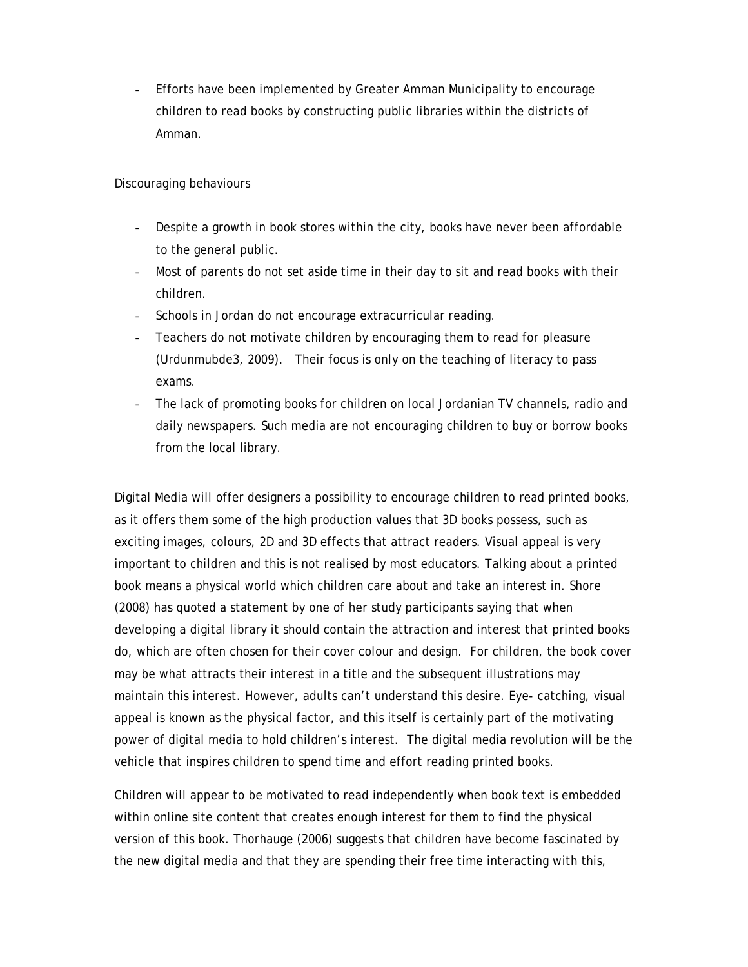- Efforts have been implemented by Greater Amman Municipality to encourage children to read books by constructing public libraries within the districts of Amman.

## Discouraging behaviours

- Despite a growth in book stores within the city, books have never been affordable to the general public.
- Most of parents do not set aside time in their day to sit and read books with their children.
- Schools in Jordan do not encourage extracurricular reading.
- Teachers do not motivate children by encouraging them to read for pleasure (Urdunmubde3, 2009). Their focus is only on the teaching of literacy to pass exams.
- The lack of promoting books for children on local Jordanian TV channels, radio and daily newspapers. Such media are not encouraging children to buy or borrow books from the local library.

Digital Media will offer designers a possibility to encourage children to read printed books, as it offers them some of the high production values that 3D books possess, such as exciting images, colours, 2D and 3D effects that attract readers. Visual appeal is very important to children and this is not realised by most educators. Talking about a printed book means a physical world which children care about and take an interest in. Shore (2008) has quoted a statement by one of her study participants saying that when developing a digital library it should contain the attraction and interest that printed books do, which are often chosen for their cover colour and design. For children, the book cover may be what attracts their interest in a title and the subsequent illustrations may maintain this interest. However, adults can't understand this desire. Eye- catching, visual appeal is known as the physical factor, and this itself is certainly part of the motivating power of digital media to hold children's interest. The digital media revolution will be the vehicle that inspires children to spend time and effort reading printed books.

Children will appear to be motivated to read independently when book text is embedded within online site content that creates enough interest for them to find the physical version of this book. Thorhauge (2006) suggests that children have become fascinated by the new digital media and that they are spending their free time interacting with this,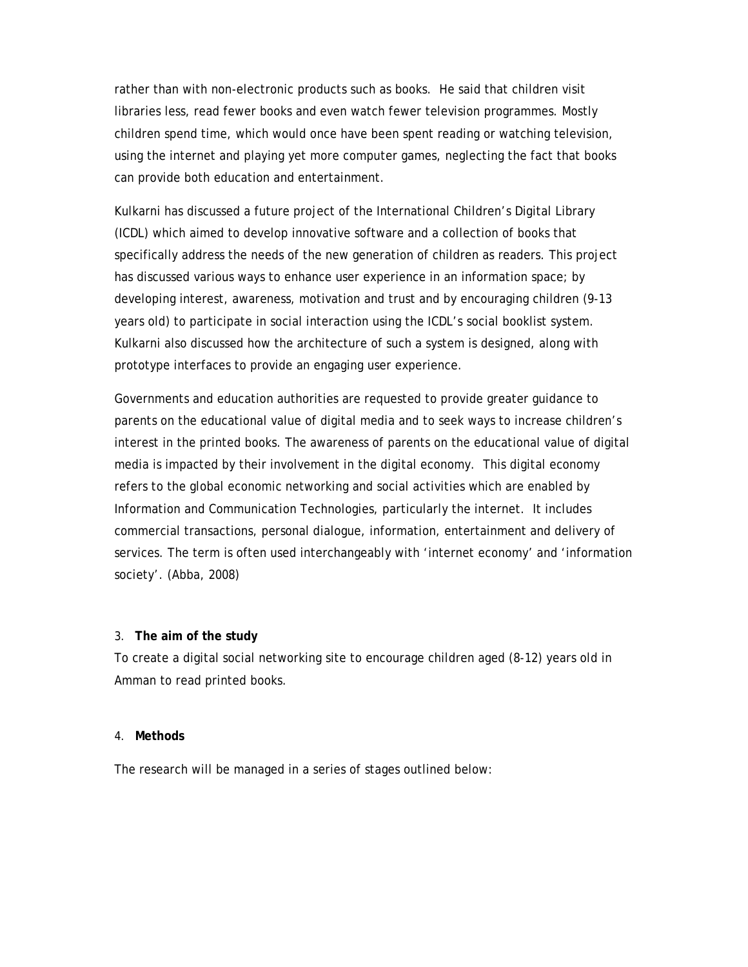rather than with non-electronic products such as books. He said that children visit libraries less, read fewer books and even watch fewer television programmes. Mostly children spend time, which would once have been spent reading or watching television, using the internet and playing yet more computer games, neglecting the fact that books can provide both education and entertainment.

Kulkarni has discussed a future project of the International Children's Digital Library (ICDL) which aimed to develop innovative software and a collection of books that specifically address the needs of the new generation of children as readers. This project has discussed various ways to enhance user experience in an information space; by developing interest, awareness, motivation and trust and by encouraging children (9-13 years old) to participate in social interaction using the ICDL's social booklist system. Kulkarni also discussed how the architecture of such a system is designed, along with prototype interfaces to provide an engaging user experience.

Governments and education authorities are requested to provide greater guidance to parents on the educational value of digital media and to seek ways to increase children's interest in the printed books. The awareness of parents on the educational value of digital media is impacted by their involvement in the digital economy. This digital economy refers to the global economic networking and social activities which are enabled by Information and Communication Technologies, particularly the internet. It includes commercial transactions, personal dialogue, information, entertainment and delivery of services. The term is often used interchangeably with 'internet economy' and 'information society'. (Abba, 2008)

#### 3. **The aim of the study**

To create a digital social networking site to encourage children aged (8-12) years old in Amman to read printed books.

#### 4. **Methods**

The research will be managed in a series of stages outlined below: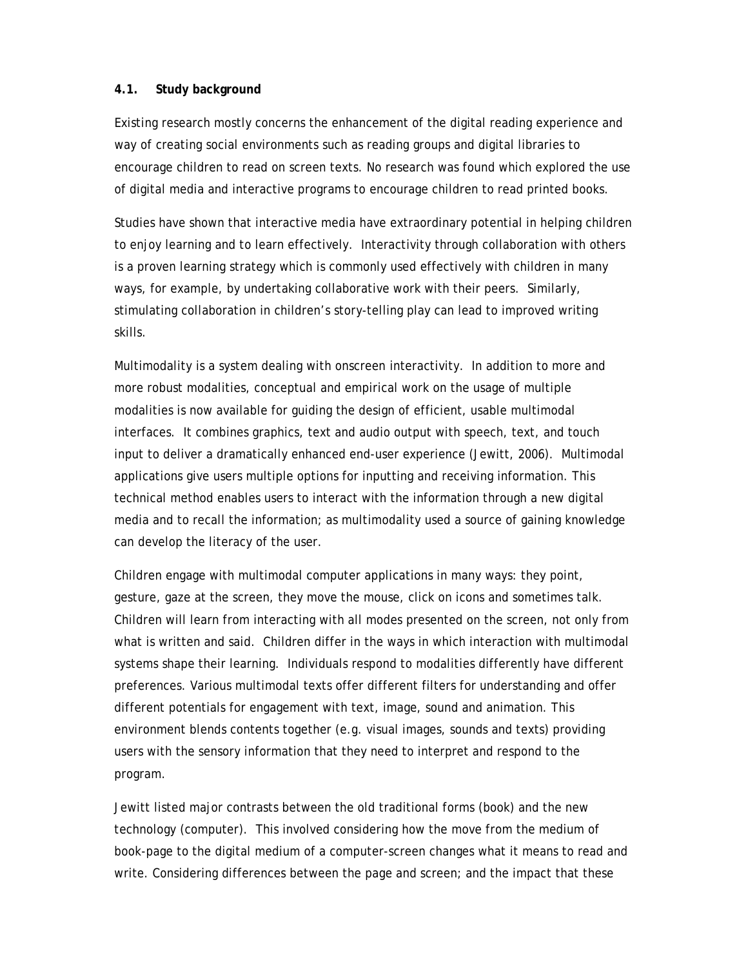#### **4.1. Study background**

Existing research mostly concerns the enhancement of the digital reading experience and way of creating social environments such as reading groups and digital libraries to encourage children to read on screen texts. No research was found which explored the use of digital media and interactive programs to encourage children to read printed books.

Studies have shown that interactive media have extraordinary potential in helping children to enjoy learning and to learn effectively. Interactivity through collaboration with others is a proven learning strategy which is commonly used effectively with children in many ways, for example, by undertaking collaborative work with their peers. Similarly, stimulating collaboration in children's story-telling play can lead to improved writing skills.

Multimodality is a system dealing with onscreen interactivity. In addition to more and more robust modalities, conceptual and empirical work on the usage of multiple modalities is now available for guiding the design of efficient, usable multimodal interfaces. It combines graphics, text and audio output with speech, text, and touch input to deliver a dramatically enhanced end-user experience (Jewitt, 2006). Multimodal applications give users multiple options for inputting and receiving information. This technical method enables users to interact with the information through a new digital media and to recall the information; as multimodality used a source of gaining knowledge can develop the literacy of the user.

Children engage with multimodal computer applications in many ways: they point, gesture, gaze at the screen, they move the mouse, click on icons and sometimes talk. Children will learn from interacting with all modes presented on the screen, not only from what is written and said. Children differ in the ways in which interaction with multimodal systems shape their learning. Individuals respond to modalities differently have different preferences. Various multimodal texts offer different filters for understanding and offer different potentials for engagement with text, image, sound and animation. This environment blends contents together (e.g. visual images, sounds and texts) providing users with the sensory information that they need to interpret and respond to the program.

Jewitt listed major contrasts between the old traditional forms (book) and the new technology (computer). This involved considering how the move from the medium of book-page to the digital medium of a computer-screen changes what it means to read and write. Considering differences between the page and screen; and the impact that these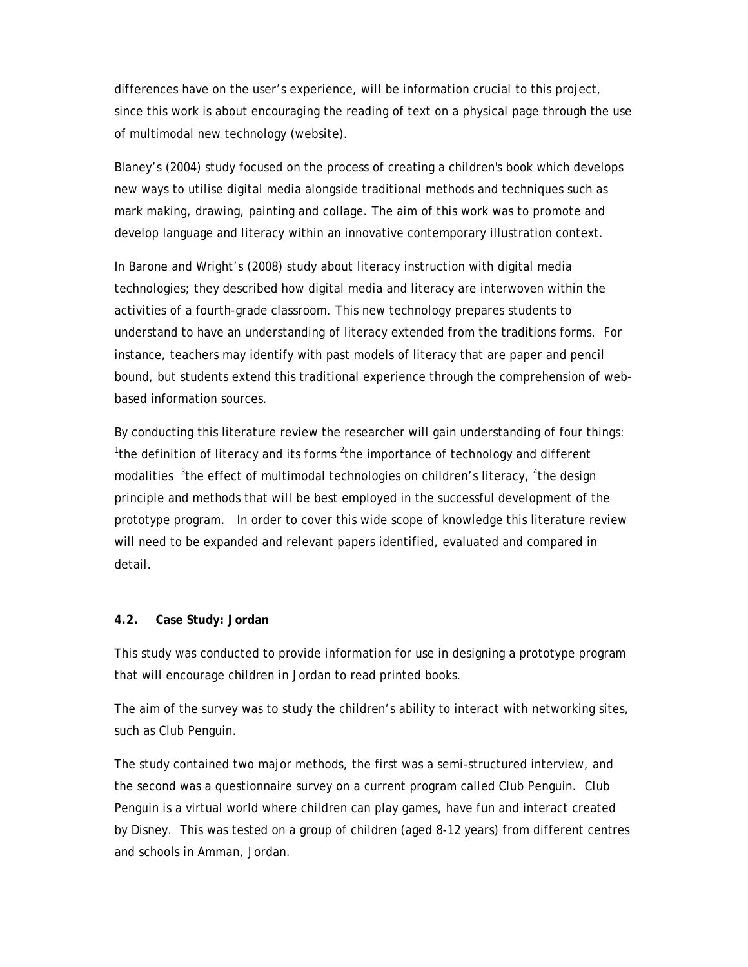differences have on the user's experience, will be information crucial to this project, since this work is about encouraging the reading of text on a physical page through the use of multimodal new technology (website).

Blaney's (2004) study focused on the process of creating a children's book which develops new ways to utilise digital media alongside traditional methods and techniques such as mark making, drawing, painting and collage. The aim of this work was to promote and develop language and literacy within an innovative contemporary illustration context.

In Barone and Wright's (2008) study about literacy instruction with digital media technologies; they described how digital media and literacy are interwoven within the activities of a fourth-grade classroom. This new technology prepares students to understand to have an understanding of literacy extended from the traditions forms. For instance, teachers may identify with past models of literacy that are paper and pencil bound, but students extend this traditional experience through the comprehension of webbased information sources.

By conducting this literature review the researcher will gain understanding of four things: <sup>1</sup> the definition of literacy and its forms  $2$  the importance of technology and different modalities <sup>3</sup>the effect of multimodal technologies on children's literacy, <sup>4</sup>the design principle and methods that will be best employed in the successful development of the prototype program. In order to cover this wide scope of knowledge this literature review will need to be expanded and relevant papers identified, evaluated and compared in detail.

#### **4.2. Case Study: Jordan**

This study was conducted to provide information for use in designing a prototype program that will encourage children in Jordan to read printed books.

The aim of the survey was to study the children's ability to interact with networking sites, such as Club Penguin.

The study contained two major methods, the first was a semi-structured interview, and the second was a questionnaire survey on a current program called Club Penguin. Club Penguin is a virtual world where children can play games, have fun and interact created by Disney. This was tested on a group of children (aged 8-12 years) from different centres and schools in Amman, Jordan.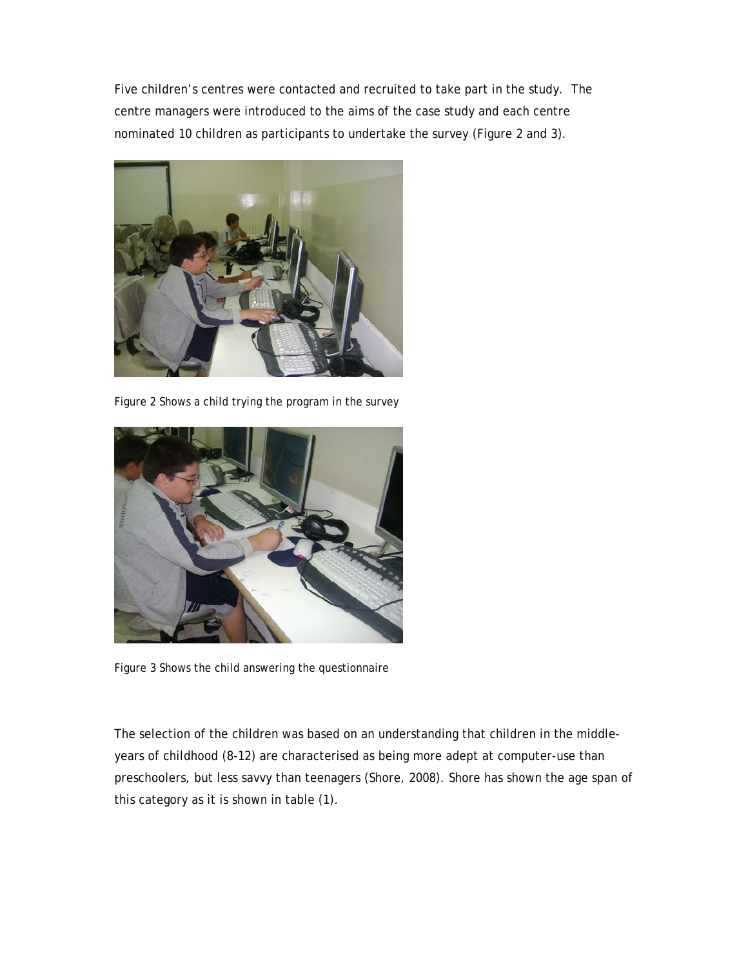Five children's centres were contacted and recruited to take part in the study. The centre managers were introduced to the aims of the case study and each centre nominated 10 children as participants to undertake the survey (Figure 2 and 3).



Figure 2 Shows a child trying the program in the survey



Figure 3 Shows the child answering the questionnaire

The selection of the children was based on an understanding that children in the middleyears of childhood (8-12) are characterised as being more adept at computer-use than preschoolers, but less savvy than teenagers (Shore, 2008). Shore has shown the age span of this category as it is shown in table (1).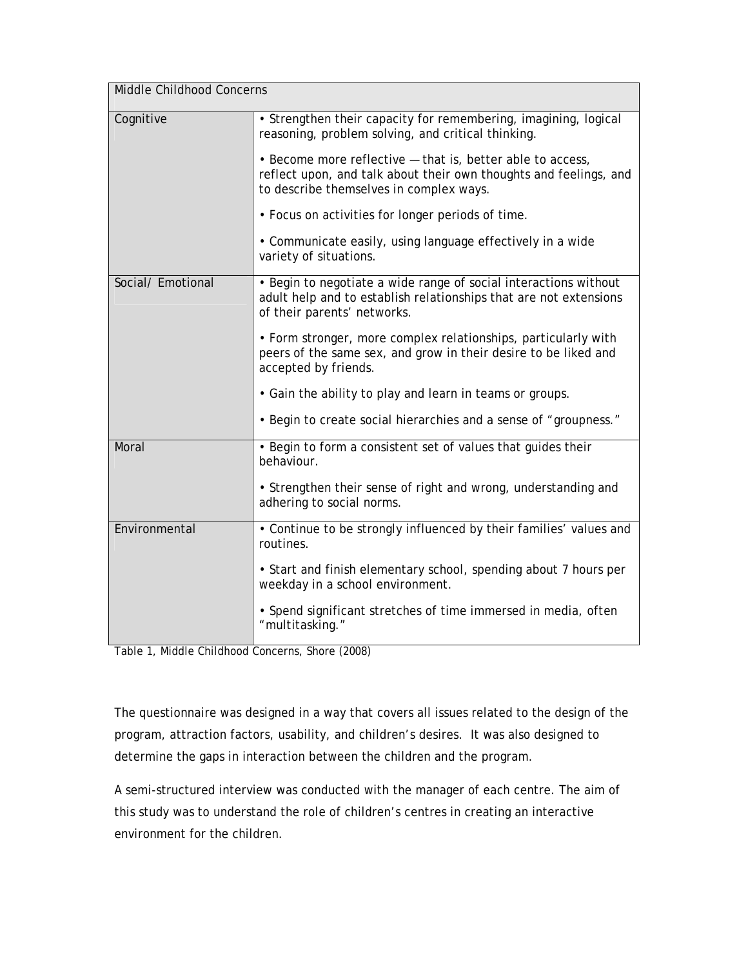| Middle Childhood Concerns |                                                                                                                                                                            |
|---------------------------|----------------------------------------------------------------------------------------------------------------------------------------------------------------------------|
| Cognitive                 | • Strengthen their capacity for remembering, imagining, logical<br>reasoning, problem solving, and critical thinking.                                                      |
|                           | • Become more reflective - that is, better able to access,<br>reflect upon, and talk about their own thoughts and feelings, and<br>to describe themselves in complex ways. |
|                           | • Focus on activities for longer periods of time.                                                                                                                          |
|                           | • Communicate easily, using language effectively in a wide<br>variety of situations.                                                                                       |
| Social/Emotional          | • Begin to negotiate a wide range of social interactions without<br>adult help and to establish relationships that are not extensions<br>of their parents' networks.       |
|                           | • Form stronger, more complex relationships, particularly with<br>peers of the same sex, and grow in their desire to be liked and<br>accepted by friends.                  |
|                           | • Gain the ability to play and learn in teams or groups.                                                                                                                   |
|                           | • Begin to create social hierarchies and a sense of "groupness."                                                                                                           |
| Moral                     | • Begin to form a consistent set of values that guides their<br>behaviour.                                                                                                 |
|                           | • Strengthen their sense of right and wrong, understanding and<br>adhering to social norms.                                                                                |
| Environmental             | • Continue to be strongly influenced by their families' values and<br>routines.                                                                                            |
|                           | • Start and finish elementary school, spending about 7 hours per<br>weekday in a school environment.                                                                       |
|                           | • Spend significant stretches of time immersed in media, often<br>"multitasking."                                                                                          |

Table 1, Middle Childhood Concerns, Shore (2008)

The questionnaire was designed in a way that covers all issues related to the design of the program, attraction factors, usability, and children's desires. It was also designed to determine the gaps in interaction between the children and the program.

A semi-structured interview was conducted with the manager of each centre. The aim of this study was to understand the role of children's centres in creating an interactive environment for the children.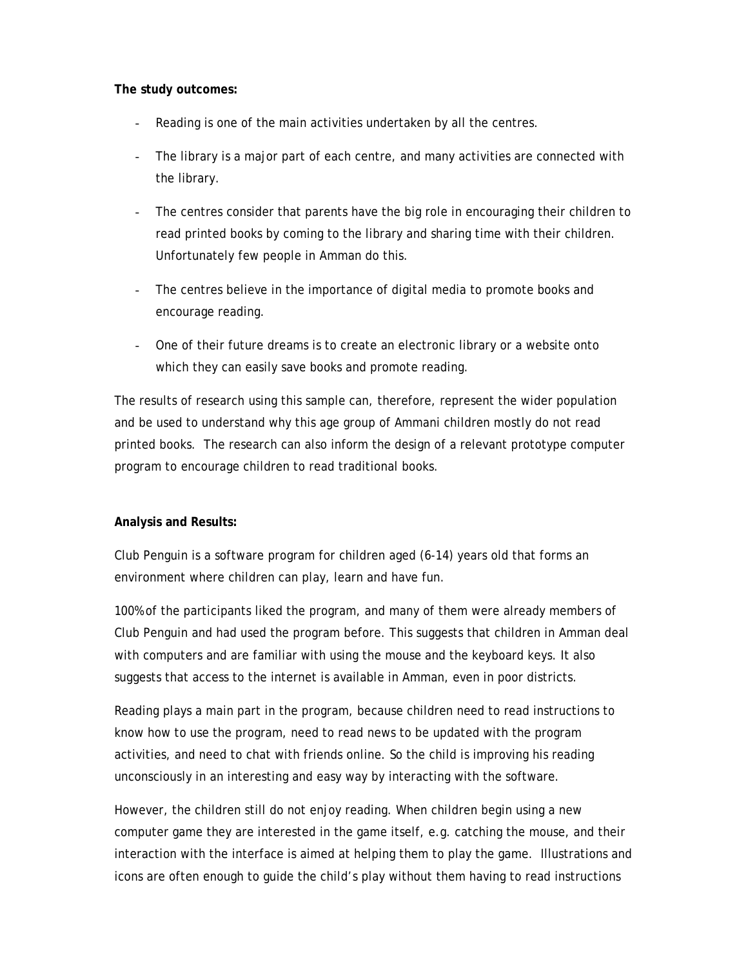**The study outcomes:** 

- Reading is one of the main activities undertaken by all the centres.
- The library is a major part of each centre, and many activities are connected with the library.
- The centres consider that parents have the big role in encouraging their children to read printed books by coming to the library and sharing time with their children. Unfortunately few people in Amman do this.
- The centres believe in the importance of digital media to promote books and encourage reading.
- One of their future dreams is to create an electronic library or a website onto which they can easily save books and promote reading.

The results of research using this sample can, therefore, represent the wider population and be used to understand why this age group of Ammani children mostly do not read printed books. The research can also inform the design of a relevant prototype computer program to encourage children to read traditional books.

# **Analysis and Results:**

Club Penguin is a software program for children aged (6-14) years old that forms an environment where children can play, learn and have fun.

100% of the participants liked the program, and many of them were already members of Club Penguin and had used the program before. This suggests that children in Amman deal with computers and are familiar with using the mouse and the keyboard keys. It also suggests that access to the internet is available in Amman, even in poor districts.

Reading plays a main part in the program, because children need to read instructions to know how to use the program, need to read news to be updated with the program activities, and need to chat with friends online. So the child is improving his reading unconsciously in an interesting and easy way by interacting with the software.

However, the children still do not enjoy reading. When children begin using a new computer game they are interested in the game itself, e.g. catching the mouse, and their interaction with the interface is aimed at helping them to play the game. Illustrations and icons are often enough to guide the child's play without them having to read instructions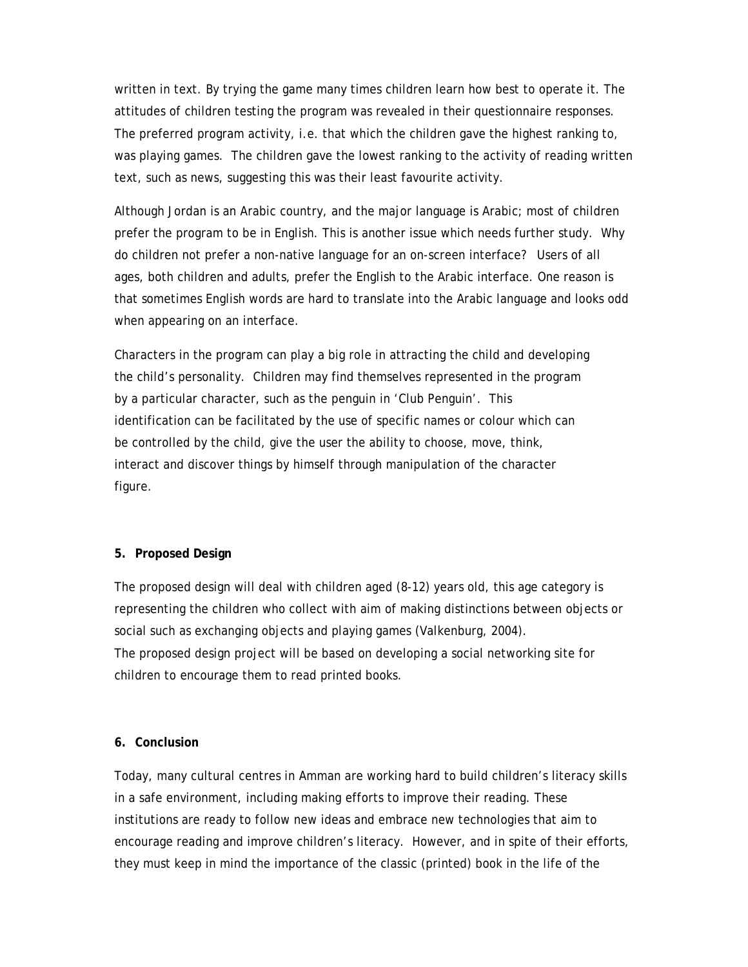written in text. By trying the game many times children learn how best to operate it. The attitudes of children testing the program was revealed in their questionnaire responses. The preferred program activity, i.e. that which the children gave the highest ranking to, was playing games. The children gave the lowest ranking to the activity of reading written text, such as news, suggesting this was their least favourite activity.

Although Jordan is an Arabic country, and the major language is Arabic; most of children prefer the program to be in English. This is another issue which needs further study. Why do children not prefer a non-native language for an on-screen interface? Users of all ages, both children and adults, prefer the English to the Arabic interface. One reason is that sometimes English words are hard to translate into the Arabic language and looks odd when appearing on an interface.

Characters in the program can play a big role in attracting the child and developing the child's personality. Children may find themselves represented in the program by a particular character, such as the penguin in 'Club Penguin'. This identification can be facilitated by the use of specific names or colour which can be controlled by the child, give the user the ability to choose, move, think, interact and discover things by himself through manipulation of the character figure.

#### **5. Proposed Design**

The proposed design will deal with children aged (8-12) years old, this age category is representing the children who collect with aim of making distinctions between objects or social such as exchanging objects and playing games (Valkenburg, 2004). The proposed design project will be based on developing a social networking site for children to encourage them to read printed books.

#### **6. Conclusion**

Today, many cultural centres in Amman are working hard to build children's literacy skills in a safe environment, including making efforts to improve their reading. These institutions are ready to follow new ideas and embrace new technologies that aim to encourage reading and improve children's literacy. However, and in spite of their efforts, they must keep in mind the importance of the classic (printed) book in the life of the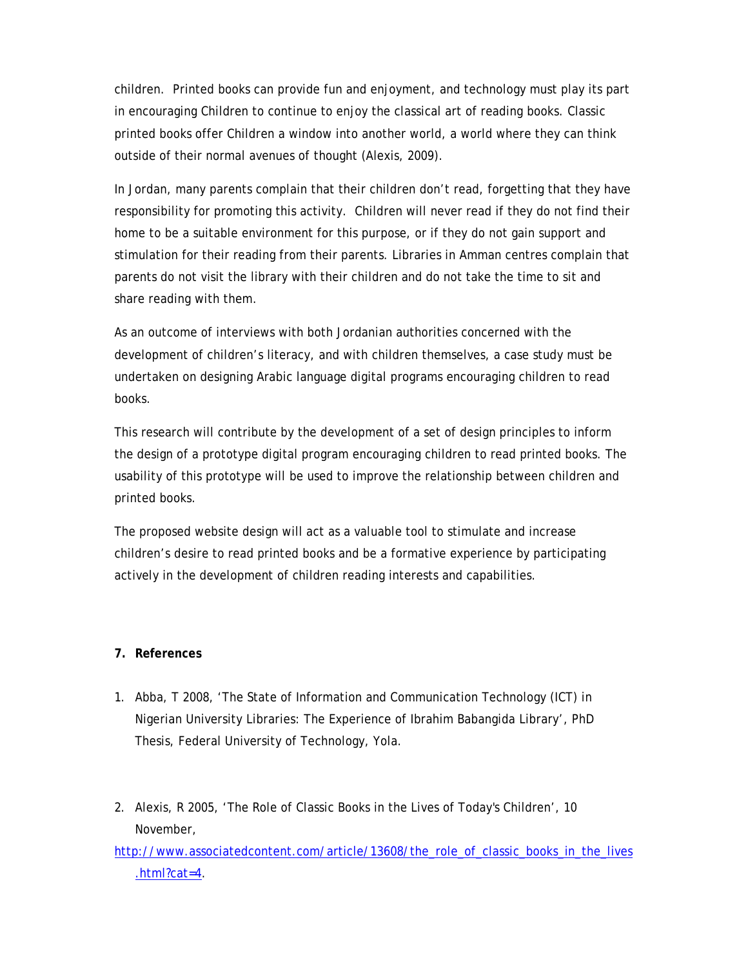children. Printed books can provide fun and enjoyment, and technology must play its part in encouraging Children to continue to enjoy the classical art of reading books. Classic printed books offer Children a window into another world, a world where they can think outside of their normal avenues of thought (Alexis, 2009).

In Jordan, many parents complain that their children don't read, forgetting that they have responsibility for promoting this activity. Children will never read if they do not find their home to be a suitable environment for this purpose, or if they do not gain support and stimulation for their reading from their parents. Libraries in Amman centres complain that parents do not visit the library with their children and do not take the time to sit and share reading with them.

As an outcome of interviews with both Jordanian authorities concerned with the development of children's literacy, and with children themselves, a case study must be undertaken on designing Arabic language digital programs encouraging children to read books.

This research will contribute by the development of a set of design principles to inform the design of a prototype digital program encouraging children to read printed books. The usability of this prototype will be used to improve the relationship between children and printed books.

The proposed website design will act as a valuable tool to stimulate and increase children's desire to read printed books and be a formative experience by participating actively in the development of children reading interests and capabilities.

## **7. References**

- 1. Abba, T 2008, 'The State of Information and Communication Technology (ICT) in Nigerian University Libraries: The Experience of Ibrahim Babangida Library', PhD Thesis, Federal University of Technology, Yola.
- 2. Alexis, R 2005, 'The Role of Classic Books in the Lives of Today's Children', 10 November,

http://www.associatedcontent.com/article/13608/the\_role\_of\_classic\_books\_in\_the\_lives .html?cat=4.